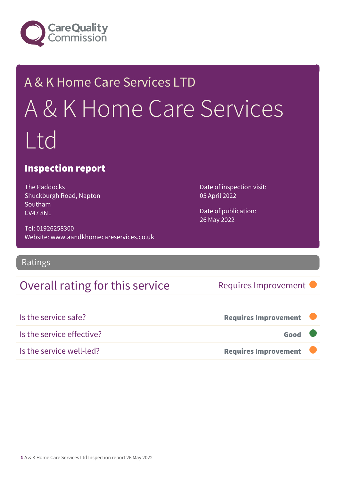

# A & K Home Care Services LTD A & K Home Care Services Ltd

### Inspection report

The Paddocks Shuckburgh Road, Napton Southam CV47 8NL

Tel: 01926258300 Website: www.aandkhomecareservices.co.uk

Ratings

## Overall rating for this service Requires Improvement

Date of inspection visit: 05 April 2022

Date of publication: 26 May 2022

| Is the service safe?      | <b>Requires Improvement</b> |  |
|---------------------------|-----------------------------|--|
| Is the service effective? | Good                        |  |
| Is the service well-led?  | <b>Requires Improvement</b> |  |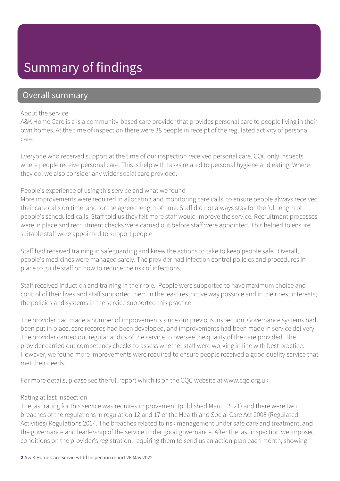## Summary of findings

### Overall summary

#### About the service

A&K Home Care is a is a community-based care provider that provides personal care to people living in their own homes. At the time of inspection there were 38 people in receipt of the regulated activity of personal care.

Everyone who received support at the time of our inspection received personal care. CQC only inspects where people receive personal care. This is help with tasks related to personal hygiene and eating. Where they do, we also consider any wider social care provided.

#### People's experience of using this service and what we found

More improvements were required in allocating and monitoring care calls, to ensure people always received their care calls on time, and for the agreed length of time. Staff did not always stay for the full length of people's scheduled calls. Staff told us they felt more staff would improve the service. Recruitment processes were in place and recruitment checks were carried out before staff were appointed. This helped to ensure suitable staff were appointed to support people.

Staff had received training in safeguarding and knew the actions to take to keep people safe. Overall, people's medicines were managed safely. The provider had infection control policies and procedures in place to guide staff on how to reduce the risk of infections.

Staff received induction and training in their role. People were supported to have maximum choice and control of their lives and staff supported them in the least restrictive way possible and in their best interests; the policies and systems in the service supported this practice.

The provider had made a number of improvements since our previous inspection. Governance systems had been put in place, care records had been developed, and improvements had been made in service delivery. The provider carried out regular audits of the service to oversee the quality of the care provided. The provider carried out competency checks to assess whether staff were working in line with best practice. However, we found more improvements were required to ensure people received a good quality service that met their needs.

For more details, please see the full report which is on the CQC website at www.cqc.org.uk

#### Rating at last inspection

The last rating for this service was requires improvement (published March 2021) and there were two breaches of the regulations in regulation 12 and 17 of the Health and Social Care Act 2008 (Regulated Activities) Regulations 2014. The breaches related to risk management under safe care and treatment, and the governance and leadership of the service under good governance. After the last inspection we imposed conditions on the provider's registration, requiring them to send us an action plan each month, showing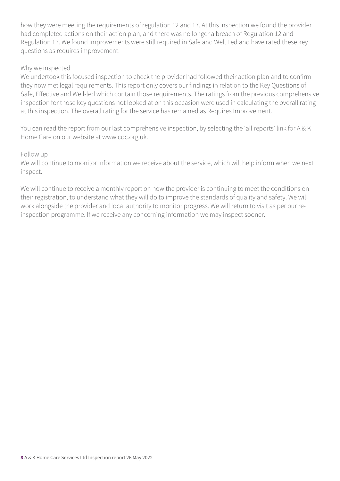how they were meeting the requirements of regulation 12 and 17. At this inspection we found the provider had completed actions on their action plan, and there was no longer a breach of Regulation 12 and Regulation 17. We found improvements were still required in Safe and Well Led and have rated these key questions as requires improvement.

#### Why we inspected

We undertook this focused inspection to check the provider had followed their action plan and to confirm they now met legal requirements. This report only covers our findings in relation to the Key Questions of Safe, Effective and Well-led which contain those requirements. The ratings from the previous comprehensive inspection for those key questions not looked at on this occasion were used in calculating the overall rating at this inspection. The overall rating for the service has remained as Requires Improvement.

You can read the report from our last comprehensive inspection, by selecting the 'all reports' link for A & K Home Care on our website at www.cqc.org.uk.

#### Follow up

We will continue to monitor information we receive about the service, which will help inform when we next inspect.

We will continue to receive a monthly report on how the provider is continuing to meet the conditions on their registration, to understand what they will do to improve the standards of quality and safety. We will work alongside the provider and local authority to monitor progress. We will return to visit as per our reinspection programme. If we receive any concerning information we may inspect sooner.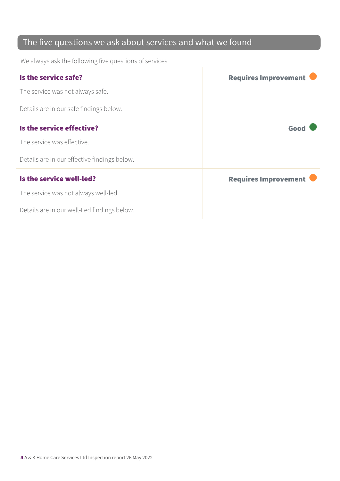## The five questions we ask about services and what we found

We always ask the following five questions of services.

| Is the service safe?                         | <b>Requires Improvement</b> |
|----------------------------------------------|-----------------------------|
| The service was not always safe.             |                             |
| Details are in our safe findings below.      |                             |
| Is the service effective?                    | Good                        |
| The service was effective.                   |                             |
| Details are in our effective findings below. |                             |
| Is the service well-led?                     | <b>Requires Improvement</b> |
| The service was not always well-led.         |                             |
| Details are in our well-Led findings below.  |                             |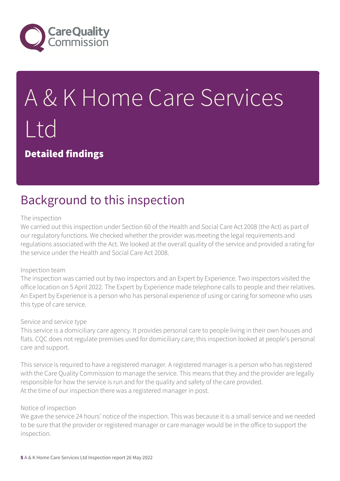

# A & K Home Care Services Ltd

Detailed findings

## Background to this inspection

#### The inspection

We carried out this inspection under Section 60 of the Health and Social Care Act 2008 (the Act) as part of our regulatory functions. We checked whether the provider was meeting the legal requirements and regulations associated with the Act. We looked at the overall quality of the service and provided a rating for the service under the Health and Social Care Act 2008.

#### Inspection team

The inspection was carried out by two inspectors and an Expert by Experience. Two inspectors visited the office location on 5 April 2022. The Expert by Experience made telephone calls to people and their relatives. An Expert by Experience is a person who has personal experience of using or caring for someone who uses this type of care service.

#### Service and service type

This service is a domiciliary care agency. It provides personal care to people living in their own houses and flats. CQC does not regulate premises used for domiciliary care; this inspection looked at people's personal care and support.

This service is required to have a registered manager. A registered manager is a person who has registered with the Care Quality Commission to manage the service. This means that they and the provider are legally responsible for how the service is run and for the quality and safety of the care provided. At the time of our inspection there was a registered manager in post.

#### Notice of inspection

We gave the service 24 hours' notice of the inspection. This was because it is a small service and we needed to be sure that the provider or registered manager or care manager would be in the office to support the inspection.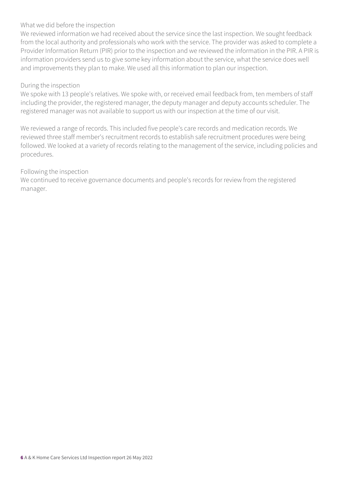#### What we did before the inspection

We reviewed information we had received about the service since the last inspection. We sought feedback from the local authority and professionals who work with the service. The provider was asked to complete a Provider Information Return (PIR) prior to the inspection and we reviewed the information in the PIR. A PIR is information providers send us to give some key information about the service, what the service does well and improvements they plan to make. We used all this information to plan our inspection.

#### During the inspection

We spoke with 13 people's relatives. We spoke with, or received email feedback from, ten members of staff including the provider, the registered manager, the deputy manager and deputy accounts scheduler. The registered manager was not available to support us with our inspection at the time of our visit.

We reviewed a range of records. This included five people's care records and medication records. We reviewed three staff member's recruitment records to establish safe recruitment procedures were being followed. We looked at a variety of records relating to the management of the service, including policies and procedures.

#### Following the inspection

We continued to receive governance documents and people's records for review from the registered manager.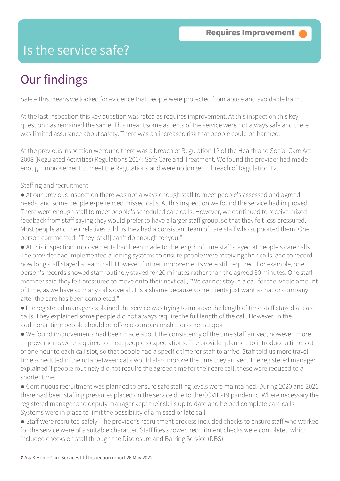## Is the service safe?

## Our findings

Safe – this means we looked for evidence that people were protected from abuse and avoidable harm.

At the last inspection this key question was rated as requires improvement. At this inspection this key question has remained the same. This meant some aspects of the service were not always safe and there was limited assurance about safety. There was an increased risk that people could be harmed.

At the previous inspection we found there was a breach of Regulation 12 of the Health and Social Care Act 2008 (Regulated Activities) Regulations 2014: Safe Care and Treatment. We found the provider had made enough improvement to meet the Regulations and were no longer in breach of Regulation 12.

#### Staffing and recruitment

● At our previous inspection there was not always enough staff to meet people's assessed and agreed needs, and some people experienced missed calls. At this inspection we found the service had improved. There were enough staff to meet people's scheduled care calls. However, we continued to receive mixed feedback from staff saying they would prefer to have a larger staff group, so that they felt less pressured. Most people and their relatives told us they had a consistent team of care staff who supported them. One person commented, "They [staff] can't do enough for you."

● At this inspection improvements had been made to the length of time staff stayed at people's care calls. The provider had implemented auditing systems to ensure people were receiving their calls, and to record how long staff stayed at each call. However, further improvements were still required. For example, one person's records showed staff routinely stayed for 20 minutes rather than the agreed 30 minutes. One staff member said they felt pressured to move onto their next call, "We cannot stay in a call for the whole amount of time, as we have so many calls overall. It's a shame because some clients just want a chat or company after the care has been completed."

- ●The registered manager explained the service was trying to improve the length of time staff stayed at care calls. They explained some people did not always require the full length of the call. However, in the additional time people should be offered companionship or other support.
- We found improvements had been made about the consistency of the time staff arrived, however, more improvements were required to meet people's expectations. The provider planned to introduce a time slot of one hour to each call slot, so that people had a specific time for staff to arrive. Staff told us more travel time scheduled in the rota between calls would also improve the time they arrived. The registered manager explained if people routinely did not require the agreed time for their care call, these were reduced to a shorter time.
- Continuous recruitment was planned to ensure safe staffing levels were maintained. During 2020 and 2021 there had been staffing pressures placed on the service due to the COVID-19 pandemic. Where necessary the registered manager and deputy manager kept their skills up to date and helped complete care calls. Systems were in place to limit the possibility of a missed or late call.
- Staff were recruited safely. The provider's recruitment process included checks to ensure staff who worked for the service were of a suitable character. Staff files showed recruitment checks were completed which included checks on staff through the Disclosure and Barring Service (DBS).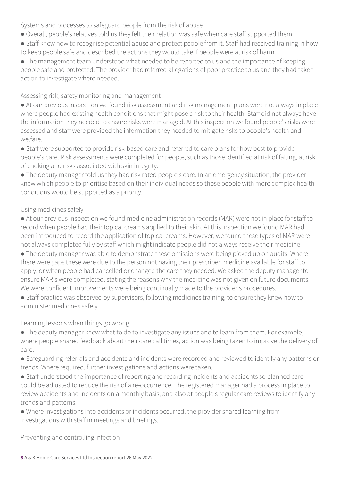Systems and processes to safeguard people from the risk of abuse

- Overall, people's relatives told us they felt their relation was safe when care staff supported them.
- Staff knew how to recognise potential abuse and protect people from it. Staff had received training in how to keep people safe and described the actions they would take if people were at risk of harm.

● The management team understood what needed to be reported to us and the importance of keeping people safe and protected. The provider had referred allegations of poor practice to us and they had taken action to investigate where needed.

Assessing risk, safety monitoring and management

● At our previous inspection we found risk assessment and risk management plans were not always in place where people had existing health conditions that might pose a risk to their health. Staff did not always have the information they needed to ensure risks were managed. At this inspection we found people's risks were assessed and staff were provided the information they needed to mitigate risks to people's health and welfare.

● Staff were supported to provide risk-based care and referred to care plans for how best to provide people's care. Risk assessments were completed for people, such as those identified at risk of falling, at risk of choking and risks associated with skin integrity.

● The deputy manager told us they had risk rated people's care. In an emergency situation, the provider knew which people to prioritise based on their individual needs so those people with more complex health conditions would be supported as a priority.

#### Using medicines safely

● At our previous inspection we found medicine administration records (MAR) were not in place for staff to record when people had their topical creams applied to their skin. At this inspection we found MAR had been introduced to record the application of topical creams. However, we found these types of MAR were not always completed fully by staff which might indicate people did not always receive their medicine

• The deputy manager was able to demonstrate these omissions were being picked up on audits. Where there were gaps these were due to the person not having their prescribed medicine available for staff to apply, or when people had cancelled or changed the care they needed. We asked the deputy manager to ensure MAR's were completed, stating the reasons why the medicine was not given on future documents. We were confident improvements were being continually made to the provider's procedures.

● Staff practice was observed by supervisors, following medicines training, to ensure they knew how to administer medicines safely.

#### Learning lessons when things go wrong

• The deputy manager knew what to do to investigate any issues and to learn from them. For example, where people shared feedback about their care call times, action was being taken to improve the delivery of care.

● Safeguarding referrals and accidents and incidents were recorded and reviewed to identify any patterns or trends. Where required, further investigations and actions were taken.

● Staff understood the importance of reporting and recording incidents and accidents so planned care could be adjusted to reduce the risk of a re-occurrence. The registered manager had a process in place to review accidents and incidents on a monthly basis, and also at people's regular care reviews to identify any trends and patterns.

● Where investigations into accidents or incidents occurred, the provider shared learning from investigations with staff in meetings and briefings.

Preventing and controlling infection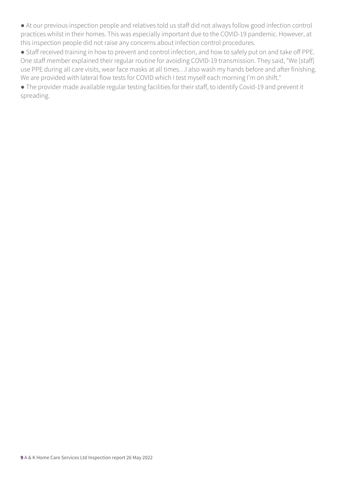● At our previous inspection people and relatives told us staff did not always follow good infection control practices whilst in their homes. This was especially important due to the COVID-19 pandemic. However, at this inspection people did not raise any concerns about infection control procedures.

● Staff received training in how to prevent and control infection, and how to safely put on and take off PPE. One staff member explained their regular routine for avoiding COVID-19 transmission. They said, "We [staff] use PPE during all care visits, wear face masks at all times…I also wash my hands before and after finishing. We are provided with lateral flow tests for COVID which I test myself each morning I'm on shift."

● The provider made available regular testing facilities for their staff, to identify Covid-19 and prevent it spreading.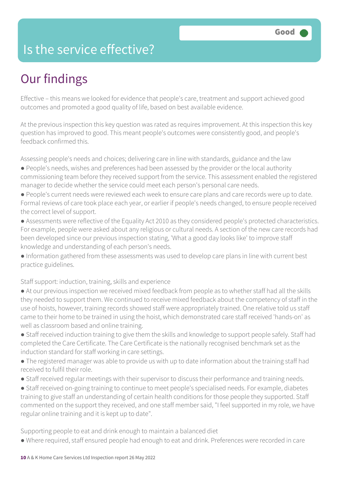## Is the service effective?

## Our findings

Effective – this means we looked for evidence that people's care, treatment and support achieved good outcomes and promoted a good quality of life, based on best available evidence.

At the previous inspection this key question was rated as requires improvement. At this inspection this key question has improved to good. This meant people's outcomes were consistently good, and people's feedback confirmed this.

Assessing people's needs and choices; delivering care in line with standards, guidance and the law

- People's needs, wishes and preferences had been assessed by the provider or the local authority commissioning team before they received support from the service. This assessment enabled the registered manager to decide whether the service could meet each person's personal care needs.
- People's current needs were reviewed each week to ensure care plans and care records were up to date. Formal reviews of care took place each year, or earlier if people's needs changed, to ensure people received the correct level of support.
- Assessments were reflective of the Equality Act 2010 as they considered people's protected characteristics. For example, people were asked about any religious or cultural needs. A section of the new care records had been developed since our previous inspection stating, 'What a good day looks like' to improve staff knowledge and understanding of each person's needs.
- Information gathered from these assessments was used to develop care plans in line with current best practice guidelines.

Staff support: induction, training, skills and experience

- At our previous inspection we received mixed feedback from people as to whether staff had all the skills they needed to support them. We continued to receive mixed feedback about the competency of staff in the use of hoists, however, training records showed staff were appropriately trained. One relative told us staff came to their home to be trained in using the hoist, which demonstrated care staff received 'hands-on' as well as classroom based and online training.
- Staff received induction training to give them the skills and knowledge to support people safely. Staff had completed the Care Certificate. The Care Certificate is the nationally recognised benchmark set as the induction standard for staff working in care settings.
- The registered manager was able to provide us with up to date information about the training staff had received to fulfil their role.
- Staff received regular meetings with their supervisor to discuss their performance and training needs.
- Staff received on-going training to continue to meet people's specialised needs. For example, diabetes training to give staff an understanding of certain health conditions for those people they supported. Staff commented on the support they received, and one staff member said, "I feel supported in my role, we have regular online training and it is kept up to date".

Supporting people to eat and drink enough to maintain a balanced diet

● Where required, staff ensured people had enough to eat and drink. Preferences were recorded in care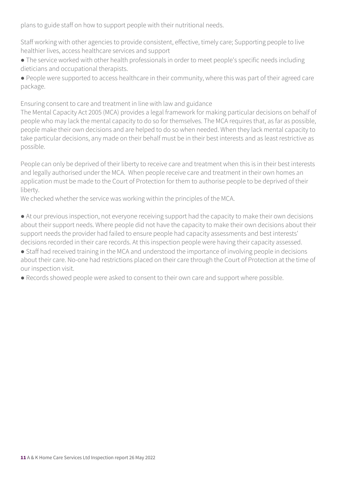plans to guide staff on how to support people with their nutritional needs.

Staff working with other agencies to provide consistent, effective, timely care; Supporting people to live healthier lives, access healthcare services and support

● The service worked with other health professionals in order to meet people's specific needs including dieticians and occupational therapists.

● People were supported to access healthcare in their community, where this was part of their agreed care package.

Ensuring consent to care and treatment in line with law and guidance

The Mental Capacity Act 2005 (MCA) provides a legal framework for making particular decisions on behalf of people who may lack the mental capacity to do so for themselves. The MCA requires that, as far as possible, people make their own decisions and are helped to do so when needed. When they lack mental capacity to take particular decisions, any made on their behalf must be in their best interests and as least restrictive as possible.

People can only be deprived of their liberty to receive care and treatment when this is in their best interests and legally authorised under the MCA. When people receive care and treatment in their own homes an application must be made to the Court of Protection for them to authorise people to be deprived of their liberty.

We checked whether the service was working within the principles of the MCA.

● At our previous inspection, not everyone receiving support had the capacity to make their own decisions about their support needs. Where people did not have the capacity to make their own decisions about their support needs the provider had failed to ensure people had capacity assessments and best interests' decisions recorded in their care records. At this inspection people were having their capacity assessed.

● Staff had received training in the MCA and understood the importance of involving people in decisions about their care. No-one had restrictions placed on their care through the Court of Protection at the time of our inspection visit.

● Records showed people were asked to consent to their own care and support where possible.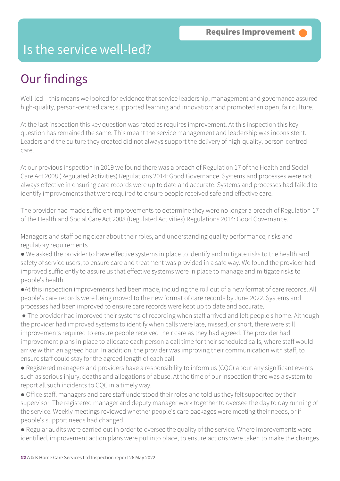## Is the service well-led?

## Our findings

Well-led – this means we looked for evidence that service leadership, management and governance assured high-quality, person-centred care; supported learning and innovation; and promoted an open, fair culture.

At the last inspection this key question was rated as requires improvement. At this inspection this key question has remained the same. This meant the service management and leadership was inconsistent. Leaders and the culture they created did not always support the delivery of high-quality, person-centred care.

At our previous inspection in 2019 we found there was a breach of Regulation 17 of the Health and Social Care Act 2008 (Regulated Activities) Regulations 2014: Good Governance. Systems and processes were not always effective in ensuring care records were up to date and accurate. Systems and processes had failed to identify improvements that were required to ensure people received safe and effective care.

The provider had made sufficient improvements to determine they were no longer a breach of Regulation 17 of the Health and Social Care Act 2008 (Regulated Activities) Regulations 2014: Good Governance.

Managers and staff being clear about their roles, and understanding quality performance, risks and regulatory requirements

● We asked the provider to have effective systems in place to identify and mitigate risks to the health and safety of service users, to ensure care and treatment was provided in a safe way. We found the provider had improved sufficiently to assure us that effective systems were in place to manage and mitigate risks to people's health.

- ●At this inspection improvements had been made, including the roll out of a new format of care records. All people's care records were being moved to the new format of care records by June 2022. Systems and processes had been improved to ensure care records were kept up to date and accurate.
- The provider had improved their systems of recording when staff arrived and left people's home. Although the provider had improved systems to identify when calls were late, missed, or short, there were still improvements required to ensure people received their care as they had agreed. The provider had improvement plans in place to allocate each person a call time for their scheduled calls, where staff would arrive within an agreed hour. In addition, the provider was improving their communication with staff, to ensure staff could stay for the agreed length of each call.
- Registered managers and providers have a responsibility to inform us (CQC) about any significant events such as serious injury, deaths and allegations of abuse. At the time of our inspection there was a system to report all such incidents to CQC in a timely way.
- Office staff, managers and care staff understood their roles and told us they felt supported by their supervisor. The registered manager and deputy manager work together to oversee the day to day running of the service. Weekly meetings reviewed whether people's care packages were meeting their needs, or if people's support needs had changed.
- Regular audits were carried out in order to oversee the quality of the service. Where improvements were identified, improvement action plans were put into place, to ensure actions were taken to make the changes